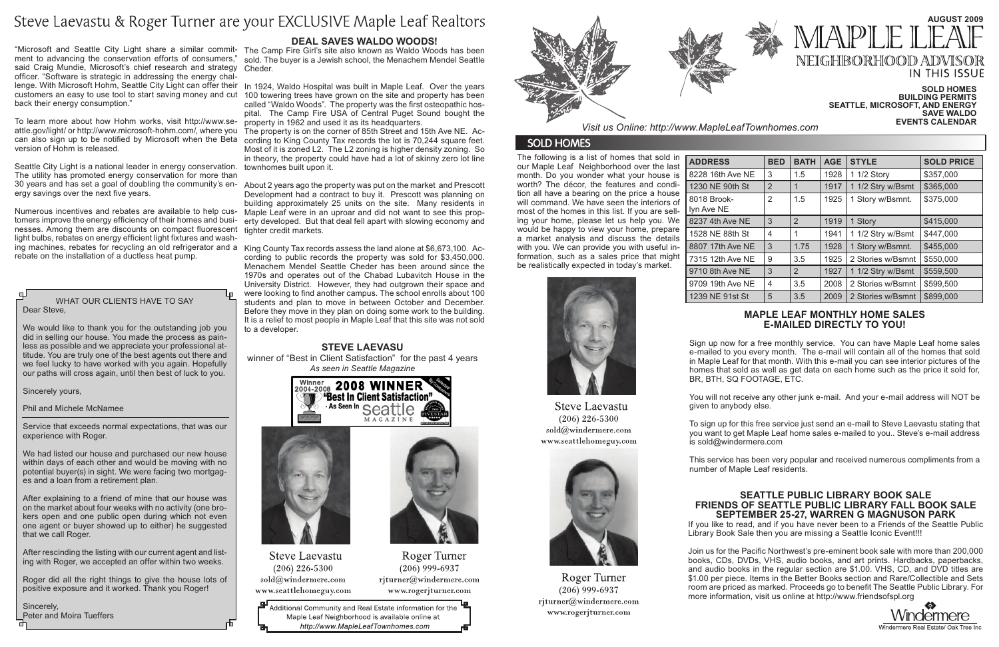The following is a list of homes that sold in our Maple Leaf Neighborhood over the last month. Do you wonder what your house is worth? The décor, the features and condition all have a bearing on the price a house will command. We have seen the interiors of most of the homes in this list. If you are selling your home, please let us help you. We would be happy to view your home, prepare a market analysis and discuss the details with you. We can provide you with useful information, such as a sales price that might be realistically expected in today's market.

|            | <b>BED</b>     | <b>BATH</b>    | <b>AGE</b> | <b>STYLE</b>      | <b>SOLD PRICE</b> |  |  |
|------------|----------------|----------------|------------|-------------------|-------------------|--|--|
| e NE       | 3              | 1.5            | 1928       | 1 1/2 Story       | \$357,000         |  |  |
| h St       | $\overline{2}$ |                | 1917       | 1 1/2 Stry w/Bsmt | \$365,000         |  |  |
|            | 2              | 1.5            | 1925       | 1 Story w/Bsmnt.  | \$375,000         |  |  |
| $\cdot$ NE | 3              | $\overline{2}$ | 1919       | 1 Story           | \$415,000         |  |  |
| h St       | 4              | 1              | 1941       | 1 1/2 Stry w/Bsmt | \$447,000         |  |  |
| e NE       | 3              | 1.75           | 1928       | 1 Story w/Bsmnt.  | \$455,000         |  |  |
| e NE       | 9              | 3.5            | 1925       | 2 Stories w/Bsmnt | \$550,000         |  |  |
| NE !       | 3              | 2              | 1927       | 1 1/2 Stry w/Bsmt | \$559,500         |  |  |
| e NE       | 4              | 3.5            | 2008       | 2 Stories w/Bsmnt | \$599,500         |  |  |
| st St      | 5              | 3.5            | 2009       | 2 Stories w/Bsmnt | \$899,000         |  |  |





**Steve Laevastu** 

 $(206)$  226-5300 sold@windermere.com www.seattlehomeguy.com

Roger Turner

 $(206)$  999-6937

rjturner@windermere.com

www.rogerjturner.com

# Dear Steve,

We would like to thank you for the outstanding job you did in selling our house. You made the process as painless as possible and we appreciate your professional attitude. You are truly one of the best agents out there and we feel lucky to have worked with you again. Hopefully our paths will cross again, until then best of luck to you.

Sincerely yours,

Phil and Michele McNamee

Service that exceeds normal expectations, that was our experience with Roger.

We had listed our house and purchased our new house within days of each other and would be moving with no potential buyer(s) in sight. We were facing two mortgages and a loan from a retirement plan.

After explaining to a friend of mine that our house was on the market about four weeks with no activity (one brokers open and one public open during which not even one agent or buyer showed up to either) he suggested that we call Roger.

After rescinding the listing with our current agent and listing with Roger, we accepted an offer within two weeks.

Roger did all the right things to give the house lots of positive exposure and it worked. Thank you Roger!

Sincerely, Peter and Moira Tueffers

# **Maple Leaf monthly home sales e-mailed directly to you!**

Sign up now for a free monthly service. You can have Maple Leaf home sales e-mailed to you every month. The e-mail will contain all of the homes that sold in Maple Leaf for that month. With this e-mail you can see interior pictures of the homes that sold as well as get data on each home such as the price it sold for, BR, BTH, SQ FOOTAGE, ETC.

You will not receive any other junk e-mail. And your e-mail address will NOT be given to anybody else.

To sign up for this free service just send an e-mail to Steve Laevastu stating that you want to get Maple Leaf home sales e-mailed to you.. Steve's e-mail address is sold@windermere.com

can also sign up to be notified by Microsoft when the Beta cording to King County Tax records the lot is 70,244 square feet. Most of it is zoned L2. The L2 zoning is higher density zoning. So in theory, the property could have had a lot of skinny zero lot line

> This service has been very popular and received numerous compliments from a number of Maple Leaf residents.

#### **Sold Homes Building Permits Seattle, Microsoft, and Energy SAVE WALDO Events Calendar**

|  | EVENIS CALENDAR |  |
|--|-----------------|--|
|  |                 |  |

## **Steve Laevasu**

winner of "Best in Client Satisfaction" for the past 4 years *As seen in Seattle Magazine*





**Steve Laevastu**  $(206)$  226-5300  $\text{cold}(\textit{a})$ windermere.com www.seattlehomeguy.com



 $(206)$  999-6937 www.rogerjturner.com

모 Additional Community and Real Estate information for the Maple Leaf Neighborhood is available online at http://www.MapleLeafTownhomes.com



*Visit us Online: http://www.MapleLeafTownhomes.com*

# **SOLD HOMES**

### **Seattle Public Library Book Sale Friends of Seattle Public Library Fall Book Sale September 25-27, Warren G Magnuson Park**

WHAT OUR CLIENTS HAVE TO SAY **The Material Water of the School entions about 100** MHAT OUR CLIENTS HAVE TO SAY Stories w/Bsmnt \\$899,000 ing machines, rebates for recycling an old refrigerator and a King County Tax records assess the land alone at \$6,673,100. According to public records the property was sold for \$3,450,000. Menachem Mendel Seattle Cheder has been around since the 1970s and operates out of the Chabad Lubavitch House in the University District. However, they had outgrown their space and were looking to find another campus. The school enrolls about 100 Before they move in they plan on doing some work to the building. It is a relief to most people in Maple Leaf that this site was not sold to a developer.

> If you like to read, and if you have never been to a Friends of the Seattle Public Library Book Sale then you are missing a Seattle Iconic Event!!!



Windermere Real Estate/ Oak Tree Inc

Join us for the Pacific Northwest's pre-eminent book sale with more than 200,000 books, CDs, DVDs, VHS, audio books, and art prints. Hardbacks, paperbacks, and audio books in the regular section are \$1.00. VHS, CD, and DVD titles are \$1.00 per piece. Items in the Better Books section and Rare/Collectible and Sets room are priced as marked. Proceeds go to benefit The Seattle Public Library. For more information, visit us online at http://www.friendsofspl.org





# **AUGust 2009** NEIGHBORHOOD ADV **IN THIS ISSUE**

# Steve Laevastu & Roger Turner are your EXCLUSIVE Maple Leaf Realtors

"Microsoft and Seattle City Light share a similar commit-The Camp Fire Girl's site also known as Waldo Woods has been ment to advancing the conservation efforts of consumers," said Craig Mundie, Microsoft's chief research and strategy officer. "Software is strategic in addressing the energy challenge. With Microsoft Hohm, Seattle City Light can offer their customers an easy to use tool to start saving money and cut back their energy consumption."

To learn more about how Hohm works, visit http://www.se-property in 1962 and used it as its headquarters. attle.gov/light/ or http://www.microsoft-hohm.com/, where you The property is on the corner of 85th Street and 15th Ave NE. Acversion of Hohm is released.

Seattle City Light is a national leader in energy conservation. townhomes built upon it. The utility has promoted energy conservation for more than ergy savings over the next five years.

tomers improve the energy efficiency of their homes and businesses. Among them are discounts on compact fluorescent tighter credit markets. light bulbs, rebates on energy efficient light fixtures and washrebate on the installation of a ductless heat pump.

# **Deal Saves Waldo Woods!**

sold. The buyer is a Jewish school, the Menachem Mendel Seattle Cheder.

In 1924, Waldo Hospital was built in Maple Leaf. Over the years 100 towering trees have grown on the site and property has been called "Waldo Woods". The property was the first osteopathic hospital. The Camp Fire USA of Central Puget Sound bought the

30 years and has set a goal of doubling the community's en-About 2 years ago the property was put on the market and Prescott Numerous incentives and rebates are available to help cus- Maple Leaf were in an uproar and did not want to see this prop-Development had a contract to buy it. Prescott was planning on building approximately 25 units on the site. Many residents in erty developed. But that deal fell apart with slowing economy and